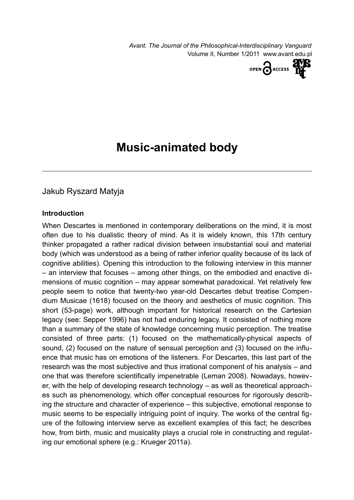*Avant. The Journal of the Philosophical-Interdisciplinary Vanguard* Volume II, Number 1/2011 www.avant.edu.pl



# **Music-animated body**

# Jakub Ryszard Matyja

#### **Introduction**

When Descartes is mentioned in contemporary deliberations on the mind, it is most often due to his dualistic theory of mind. As it is widely known, this 17th century thinker propagated a rather radical division between insubstantial soul and material body (which was understood as a being of rather inferior quality because of its lack of cognitive abilities). Opening this introduction to the following interview in this manner – an interview that focuses – among other things, on the embodied and enactive dimensions of music cognition – may appear somewhat paradoxical. Yet relatively few people seem to notice that twenty-two year-old Descartes debut treatise Compendium Musicae (1618) focused on the theory and aesthetics of music cognition. This short (53-page) work, although important for historical research on the Cartesian legacy (see: Sepper 1996) has not had enduring legacy. It consisted of nothing more than a summary of the state of knowledge concerning music perception. The treatise consisted of three parts: (1) focused on the mathematically-physical aspects of sound, (2) focused on the nature of sensual perception and (3) focused on the influence that music has on emotions of the listeners. For Descartes, this last part of the research was the most subjective and thus irrational component of his analysis – and one that was therefore scientifically impenetrable (Leman 2008). Nowadays, however, with the help of developing research technology – as well as theoretical approaches such as phenomenology, which offer conceptual resources for rigorously describing the structure and character of experience – this subjective, emotional response to music seems to be especially intriguing point of inquiry. The works of the central figure of the following interview serve as excellent examples of this fact; he describes how, from birth, music and musicality plays a crucial role in constructing and regulating our emotional sphere (e.g.: Krueger 2011a).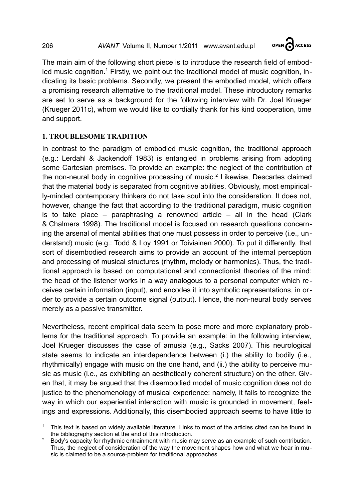OPEN ACCESS

The main aim of the following short piece is to introduce the research field of embod-ied music cognition.<sup>[1](#page-1-0)</sup> Firstly, we point out the traditional model of music cognition, indicating its basic problems. Secondly, we present the embodied model, which offers a promising research alternative to the traditional model. These introductory remarks are set to serve as a background for the following interview with Dr. Joel Krueger (Krueger 2011c), whom we would like to cordially thank for his kind cooperation, time and support.

### **1. TROUBLESOME TRADITION**

In contrast to the paradigm of embodied music cognition, the traditional approach (e.g.: Lerdahl & Jackendoff 1983) is entangled in problems arising from adopting some Cartesian premises. To provide an example: the neglect of the contribution of the non-neural body in cognitive processing of music.<sup>[2](#page-1-1)</sup> Likewise, Descartes claimed that the material body is separated from cognitive abilities. Obviously, most empirically-minded contemporary thinkers do not take soul into the consideration. It does not, however, change the fact that according to the traditional paradigm, music cognition is to take place – paraphrasing a renowned article – all in the head (Clark & Chalmers 1998). The traditional model is focused on research questions concerning the arsenal of mental abilities that one must possess in order to perceive (i.e., understand) music (e.g.: Todd & Loy 1991 or Toiviainen 2000). To put it differently, that sort of disembodied research aims to provide an account of the internal perception and processing of musical structures (rhythm, melody or harmonics). Thus, the traditional approach is based on computational and connectionist theories of the mind: the head of the listener works in a way analogous to a personal computer which receives certain information (input), and encodes it into symbolic representations, in order to provide a certain outcome signal (output). Hence, the non-neural body serves merely as a passive transmitter.

Nevertheless, recent empirical data seem to pose more and more explanatory problems for the traditional approach. To provide an example: in the following interview, Joel Krueger discusses the case of amusia (e.g., Sacks 2007). This neurological state seems to indicate an interdependence between (i.) the ability to bodily (i.e., rhythmically) engage with music on the one hand, and (ii.) the ability to perceive music as music (i.e., as exhibiting an aesthetically coherent structure) on the other. Given that, it may be argued that the disembodied model of music cognition does not do justice to the phenomenology of musical experience: namely, it fails to recognize the way in which our experiential interaction with music is grounded in movement, feelings and expressions. Additionally, this disembodied approach seems to have little to

<span id="page-1-0"></span><sup>1</sup> This text is based on widely available literature. Links to most of the articles cited can be found in the bibliography section at the end of this introduction.

<span id="page-1-1"></span>Body's capacity for rhythmic entrainment with music may serve as an example of such contribution. Thus, the neglect of consideration of the way the movement shapes how and what we hear in music is claimed to be a source-problem for traditional approaches.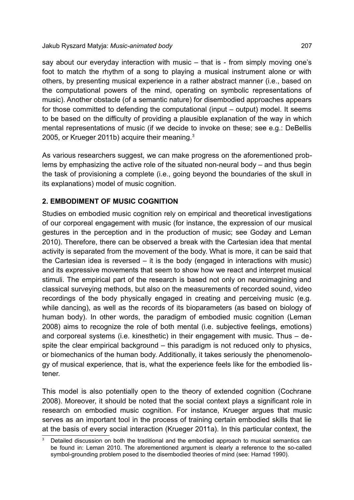say about our everyday interaction with music – that is - from simply moving one's foot to match the rhythm of a song to playing a musical instrument alone or with others, by presenting musical experience in a rather abstract manner (i.e., based on the computational powers of the mind, operating on symbolic representations of music). Another obstacle (of a semantic nature) for disembodied approaches appears for those committed to defending the computational (input – output) model. It seems to be based on the difficulty of providing a plausible explanation of the way in which mental representations of music (if we decide to invoke on these; see e.g.: DeBellis 2005, or Krueger 2011b) acquire their meaning.<sup>[3](#page-2-0)</sup>

As various researchers suggest, we can make progress on the aforementioned problems by emphasizing the active role of the situated non-neural body – and thus begin the task of provisioning a complete (i.e., going beyond the boundaries of the skull in its explanations) model of music cognition.

## **2. EMBODIMENT OF MUSIC COGNITION**

Studies on embodied music cognition rely on empirical and theoretical investigations of our corporeal engagement with music (for instance, the expression of our musical gestures in the perception and in the production of music; see Godøy and Leman 2010). Therefore, there can be observed a break with the Cartesian idea that mental activity is separated from the movement of the body. What is more, it can be said that the Cartesian idea is reversed – it is the body (engaged in interactions with music) and its expressive movements that seem to show how we react and interpret musical stimuli. The empirical part of the research is based not only on neuroimagining and classical surveying methods, but also on the measurements of recorded sound, video recordings of the body physically engaged in creating and perceiving music (e.g. while dancing), as well as the records of its bioparameters (as based on biology of human body). In other words, the paradigm of embodied music cognition (Leman 2008) aims to recognize the role of both mental (i.e. subjective feelings, emotions) and corporeal systems (i.e. kinesthetic) in their engagement with music. Thus – despite the clear empirical background – this paradigm is not reduced only to physics, or biomechanics of the human body. Additionally, it takes seriously the phenomenology of musical experience, that is, what the experience feels like for the embodied listener.

This model is also potentially open to the theory of extended cognition (Cochrane 2008). Moreover, it should be noted that the social context plays a significant role in research on embodied music cognition. For instance, Krueger argues that music serves as an important tool in the process of training certain embodied skills that lie at the basis of every social interaction (Krueger 2011a). In this particular context, the

<span id="page-2-0"></span>Detailed discussion on both the traditional and the embodied approach to musical semantics can be found in: Leman 2010. The aforementioned argument is clearly a reference to the so-called symbol-grounding problem posed to the disembodied theories of mind (see: Harnad 1990).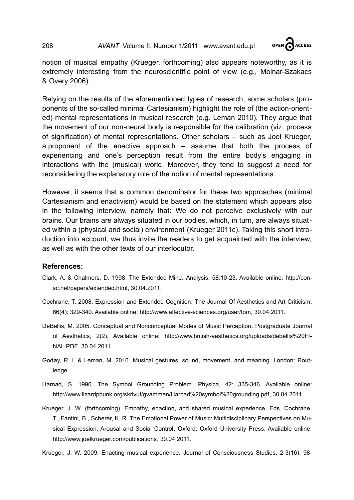

notion of musical empathy (Krueger, forthcoming) also appears noteworthy, as it is extremely interesting from the neuroscientific point of view (e.g., Molnar-Szakacs & Overy 2006).

Relying on the results of the aforementioned types of research, some scholars (proponents of the so-called minimal Cartesianism) highlight the role of (the action-oriented) mental representations in musical research (e.g. Leman 2010). They argue that the movement of our non-neural body is responsible for the calibration (viz. process of signification) of mental representations. Other scholars – such as Joel Krueger, a proponent of the enactive approach – assume that both the process of experiencing and one's perception result from the entire body's engaging in interactions with the (musical) world. Moreover, they tend to suggest a need for reconsidering the explanatory role of the notion of mental representations.

However, it seems that a common denominator for these two approaches (minimal Cartesianism and enactivism) would be based on the statement which appears also in the following interview, namely that: We do not perceive exclusively with our brains. Our brains are always situated in our bodies, which, in turn, are always situated within a (physical and social) environment (Krueger 2011c). Taking this short introduction into account, we thus invite the readers to get acquainted with the interview, as well as with the other texts of our interlocutor.

#### **References:**

- Clark, A. & Chalmers, D. 1998. The Extended Mind. Analysis, 58:10-23. Available online: http://consc.net/papers/extended.html, 30.04.2011.
- Cochrane, T. 2008. Expression and Extended Cognition. The Journal Of Aesthetics and Art Criticism. 66(4): 329-340. Available online: http://www.affective-sciences.org/user/tom, 30.04.2011.
- DeBellis, M. 2005. Conceptual and Nonconceptual Modes of Music Perception. Postgraduate Journal of Aesthetics, 2(2). Available online: http://www.british-aesthetics.org/uploads/debellis%20FI-NAL.PDF, 30.04.2011.
- Godøy, R. I. & Leman, M. 2010. Musical gestures: sound, movement, and meaning. London: Routledge.
- Harnad, S. 1990. The Symbol Grounding Problem. Physica, 42: 335-346. Available online: http://www.lizardphunk.org/skrivut/gvammen/Harnad%20symbol%20grounding.pdf, 30.04.2011.
- Krueger, J. W. (forthcoming). Empathy, enaction, and shared musical experience. Eds. Cochrane, T., Fantini, B., Scherer, K. R. The Emotional Power of Music: Multidisciplinary Perspectives on Musical Expression, Arousal and Social Control. Oxford: Oxford University Press. Available online: http://www.joelkrueger.com/publications, 30.04.2011.

Krueger, J. W. 2009. Enacting musical experience. Journal of Consciousness Studies, 2-3(16): 98-